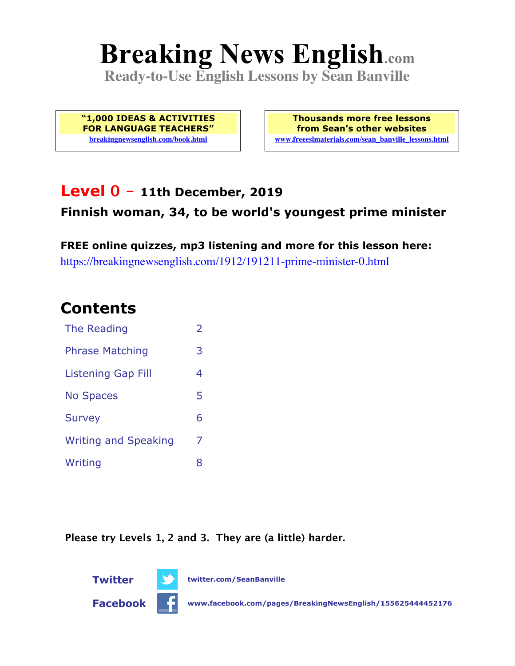# **Breaking News English.com**

**Ready-to-Use English Lessons by Sean Banville**

**"1,000 IDEAS & ACTIVITIES FOR LANGUAGE TEACHERS" breakingnewsenglish.com/book.html**

**Thousands more free lessons from Sean's other websites www.freeeslmaterials.com/sean\_banville\_lessons.html**

### **Level 0 - 11th December, 2019**

### **Finnish woman, 34, to be world's youngest prime minister**

**FREE online quizzes, mp3 listening and more for this lesson here:** https://breakingnewsenglish.com/1912/191211-prime-minister-0.html

### **Contents**

| The Reading                 | $\overline{2}$ |
|-----------------------------|----------------|
| <b>Phrase Matching</b>      | 3              |
| <b>Listening Gap Fill</b>   | 4              |
| <b>No Spaces</b>            | 5              |
| <b>Survey</b>               | 6              |
| <b>Writing and Speaking</b> | 7              |
| Writing                     | 8              |

**Please try Levels 1, 2 and 3. They are (a little) harder.**



**Facebook www.facebook.com/pages/BreakingNewsEnglish/155625444452176**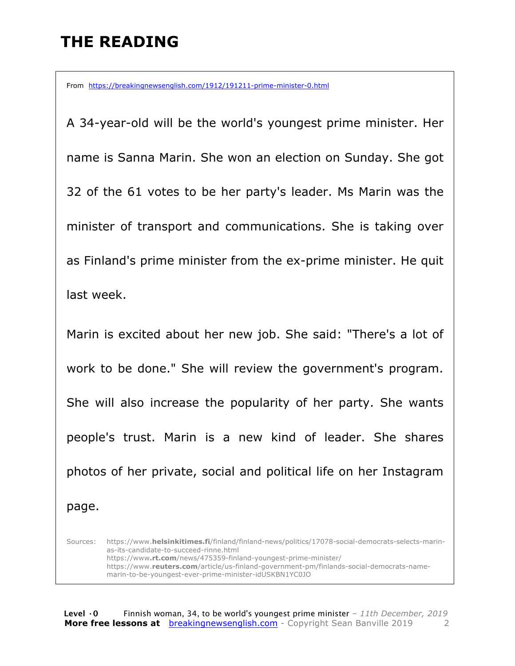### **THE READING**

From https://breakingnewsenglish.com/1912/191211-prime-minister-0.html

A 34-year-old will be the world's youngest prime minister. Her name is Sanna Marin. She won an election on Sunday. She got 32 of the 61 votes to be her party's leader. Ms Marin was the minister of transport and communications. She is taking over as Finland's prime minister from the ex-prime minister. He quit last week.

Marin is excited about her new job. She said: "There's a lot of work to be done." She will review the government's program. She will also increase the popularity of her party. She wants people's trust. Marin is a new kind of leader. She shares photos of her private, social and political life on her Instagram page.

Sources: https://www.**helsinkitimes.fi**/finland/finland-news/politics/17078-social-democrats-selects-marinas-its-candidate-to-succeed-rinne.html https://www**.rt.com**/news/475359-finland-youngest-prime-minister/ https://www.**reuters.com**/article/us-finland-government-pm/finlands-social-democrats-namemarin-to-be-youngest-ever-prime-minister-idUSKBN1YC0JO

**Level ·0** Finnish woman, 34, to be world's youngest prime minister *– 11th December, 2019* **More free lessons at** breakingnewsenglish.com - Copyright Sean Banville 2019 2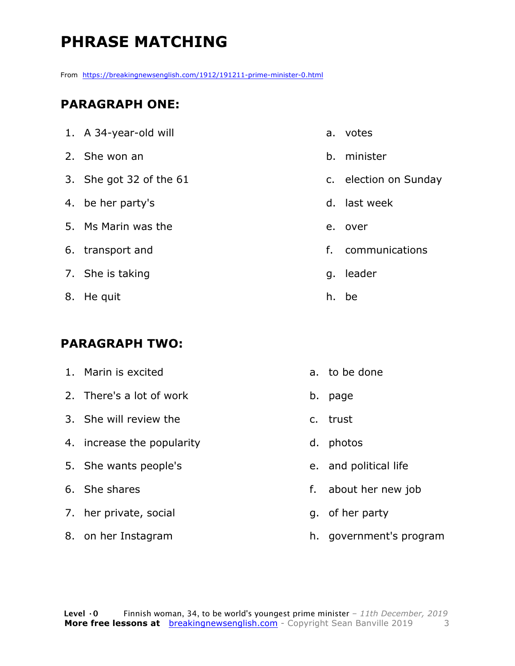### **PHRASE MATCHING**

From https://breakingnewsenglish.com/1912/191211-prime-minister-0.html

#### **PARAGRAPH ONE:**

| 1. A 34-year-old will   | a.            |                          |
|-------------------------|---------------|--------------------------|
| 2. She won an           | b.            | $\overline{\phantom{0}}$ |
| 3. She got 32 of the 61 | $C_{\bullet}$ | $\overline{\phantom{a}}$ |
| 4. be her party's       | $d.$ $\vert$  |                          |
| 5. Ms Marin was the     | e.            |                          |
| 6. transport and        | f.            |                          |
| 7. She is taking        | q.            | $\overline{\phantom{0}}$ |
| 8. He quit              | h.            |                          |

#### **PARAGRAPH TWO:**

| 1. Marin is excited      | a. to be done |
|--------------------------|---------------|
| 2. There's a lot of work | b. page       |
| 3. She will review the   | c. trust      |

- 4. increase the popularity
- 5. She wants people's
- 6. She shares
- 7. her private, social
- 8. on her Instagram
- votes
- b. minister
- election on Sunday
- last week
- over
- communications
- leader
- h. be
- to be done
- c. trust
- d. photos
- e. and political life
- f. about her new job
- g. of her party
- h. government's program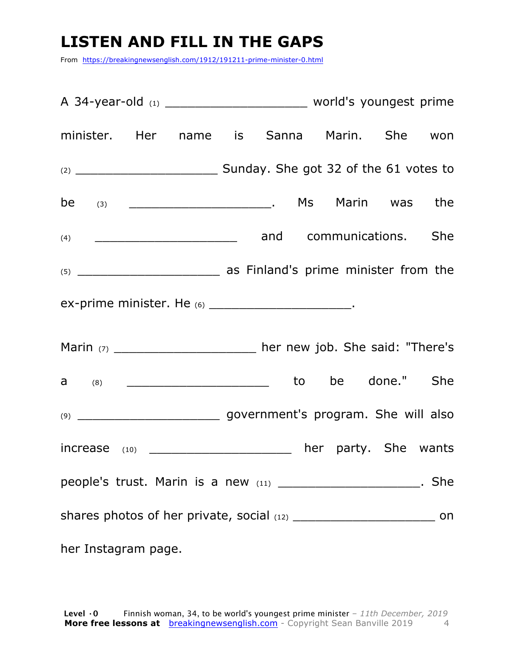### **LISTEN AND FILL IN THE GAPS**

From https://breakingnewsenglish.com/1912/191211-prime-minister-0.html

| minister. Her name is Sanna Marin. She won                         |  |  |  |  |
|--------------------------------------------------------------------|--|--|--|--|
|                                                                    |  |  |  |  |
|                                                                    |  |  |  |  |
|                                                                    |  |  |  |  |
|                                                                    |  |  |  |  |
| ex-prime minister. He (6) ________________________.                |  |  |  |  |
| Marin (7) ________________________ her new job. She said: "There's |  |  |  |  |
|                                                                    |  |  |  |  |
|                                                                    |  |  |  |  |
| increase (10) _____________________ her party. She wants           |  |  |  |  |
| people's trust. Marin is a new (11) _______________________. She   |  |  |  |  |
|                                                                    |  |  |  |  |
| her Instagram page.                                                |  |  |  |  |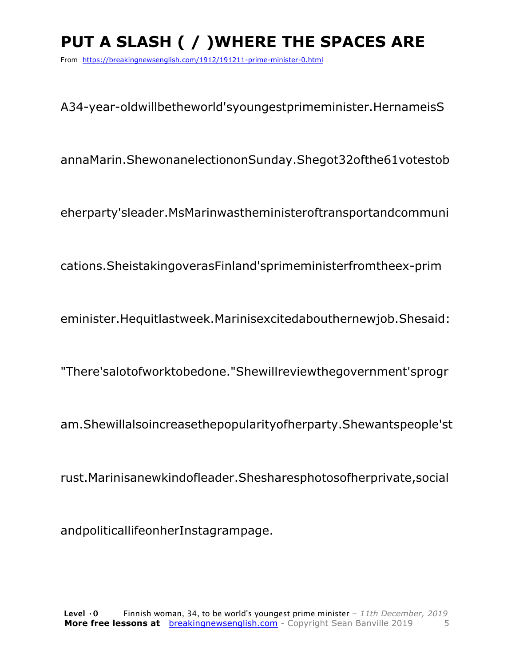## **PUT A SLASH ( / )WHERE THE SPACES ARE**

From https://breakingnewsenglish.com/1912/191211-prime-minister-0.html

A34-year-oldwillbetheworld'syoungestprimeminister.HernameisS

annaMarin.ShewonanelectiononSunday.Shegot32ofthe61votestob

eherparty'sleader.MsMarinwastheministeroftransportandcommuni

cations.SheistakingoverasFinland'sprimeministerfromtheex-prim

eminister.Hequitlastweek.Marinisexcitedabouthernewjob.Shesaid:

"There'salotofworktobedone."Shewillreviewthegovernment'sprogr

am.Shewillalsoincreasethepopularityofherparty.Shewantspeople'st

rust.Marinisanewkindofleader.Shesharesphotosofherprivate,social

andpoliticallifeonherInstagrampage.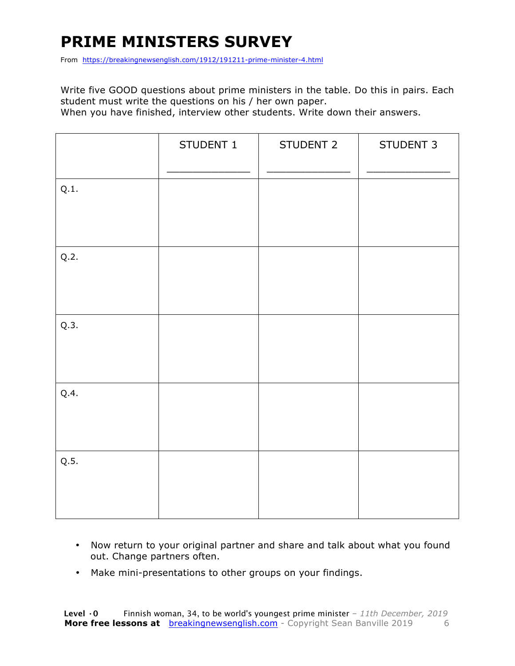### **PRIME MINISTERS SURVEY**

From https://breakingnewsenglish.com/1912/191211-prime-minister-4.html

Write five GOOD questions about prime ministers in the table. Do this in pairs. Each student must write the questions on his / her own paper.

When you have finished, interview other students. Write down their answers.

|      | STUDENT 1 | STUDENT 2 | STUDENT 3 |
|------|-----------|-----------|-----------|
| Q.1. |           |           |           |
| Q.2. |           |           |           |
| Q.3. |           |           |           |
| Q.4. |           |           |           |
| Q.5. |           |           |           |

- Now return to your original partner and share and talk about what you found out. Change partners often.
- Make mini-presentations to other groups on your findings.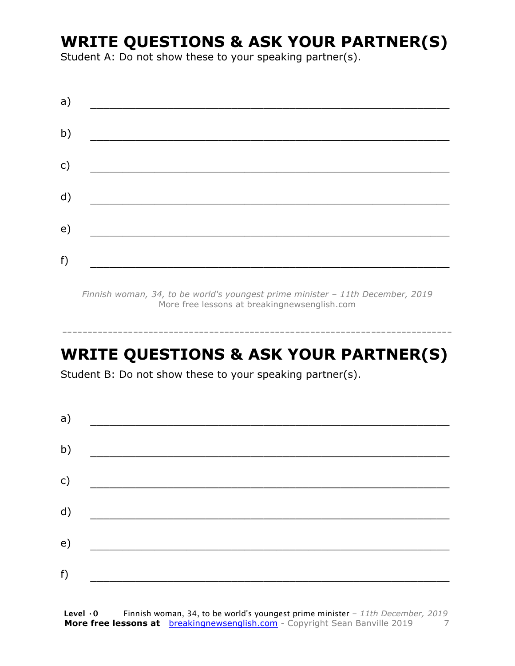### **WRITE QUESTIONS & ASK YOUR PARTNER(S)**

Student A: Do not show these to your speaking partner(s).

| a) |                                                          |  |  |
|----|----------------------------------------------------------|--|--|
| b) | <u> 1989 - Johann John Stone, mars eta biztanleria (</u> |  |  |
| c) |                                                          |  |  |
| d) |                                                          |  |  |
| e) |                                                          |  |  |
| f) |                                                          |  |  |

*Finnish woman, 34, to be world's youngest prime minister – 11th December, 2019* More free lessons at breakingnewsenglish.com

-----------------------------------------------------------------------------

### **WRITE QUESTIONS & ASK YOUR PARTNER(S)**

Student B: Do not show these to your speaking partner(s).

| a) |  |  |
|----|--|--|
| b) |  |  |
| c) |  |  |
| d) |  |  |
| e) |  |  |
| f) |  |  |
|    |  |  |

**Level ·0** Finnish woman, 34, to be world's youngest prime minister *– 11th December, 2019* **More free lessons at** breakingnewsenglish.com - Copyright Sean Banville 2019 7